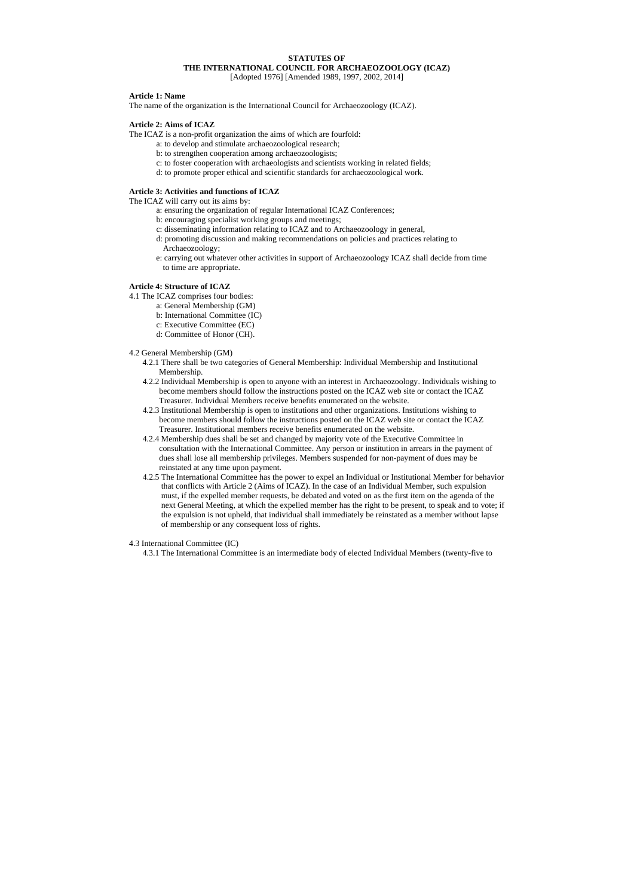# **STATUTES OF THE INTERNATIONAL COUNCIL FOR ARCHAEOZOOLOGY (ICAZ)**  [Adopted 1976] [Amended 1989, 1997, 2002, 2014]

#### **Article 1: Name**

The name of the organization is the International Council for Archaeozoology (ICAZ).

## **Article 2: Aims of ICAZ**

The ICAZ is a non-profit organization the aims of which are fourfold:

- a: to develop and stimulate archaeozoological research;
- b: to strengthen cooperation among archaeozoologists;
- c: to foster cooperation with archaeologists and scientists working in related fields;
- d: to promote proper ethical and scientific standards for archaeozoological work.

### **Article 3: Activities and functions of ICAZ**

The ICAZ will carry out its aims by:

- a: ensuring the organization of regular International ICAZ Conferences;
- b: encouraging specialist working groups and meetings;
- c: disseminating information relating to ICAZ and to Archaeozoology in general,
- d: promoting discussion and making recommendations on policies and practices relating to Archaeozoology;
- e: carrying out whatever other activities in support of Archaeozoology ICAZ shall decide from time to time are appropriate.

## **Article 4: Structure of ICAZ**

- 4.1 The ICAZ comprises four bodies:
	- a: General Membership (GM)
	- b: International Committee (IC)
	- c: Executive Committee (EC)
	- d: Committee of Honor (CH).

### 4.2 General Membership (GM)

- 4.2.1 There shall be two categories of General Membership: Individual Membership and Institutional Membership.
- 4.2.2 Individual Membership is open to anyone with an interest in Archaeozoology. Individuals wishing to become members should follow the instructions posted on the ICAZ web site or contact the ICAZ Treasurer. Individual Members receive benefits enumerated on the website.
- 4.2.3 Institutional Membership is open to institutions and other organizations. Institutions wishing to become members should follow the instructions posted on the ICAZ web site or contact the ICAZ Treasurer. Institutional members receive benefits enumerated on the website.
- 4.2.4 Membership dues shall be set and changed by majority vote of the Executive Committee in consultation with the International Committee. Any person or institution in arrears in the payment of dues shall lose all membership privileges. Members suspended for non-payment of dues may be reinstated at any time upon payment.
- 4.2.5 The International Committee has the power to expel an Individual or Institutional Member for behavior that conflicts with Article 2 (Aims of ICAZ). In the case of an Individual Member, such expulsion must, if the expelled member requests, be debated and voted on as the first item on the agenda of the next General Meeting, at which the expelled member has the right to be present, to speak and to vote; if the expulsion is not upheld, that individual shall immediately be reinstated as a member without lapse of membership or any consequent loss of rights.

4.3 International Committee (IC)

4.3.1 The International Committee is an intermediate body of elected Individual Members (twenty-five to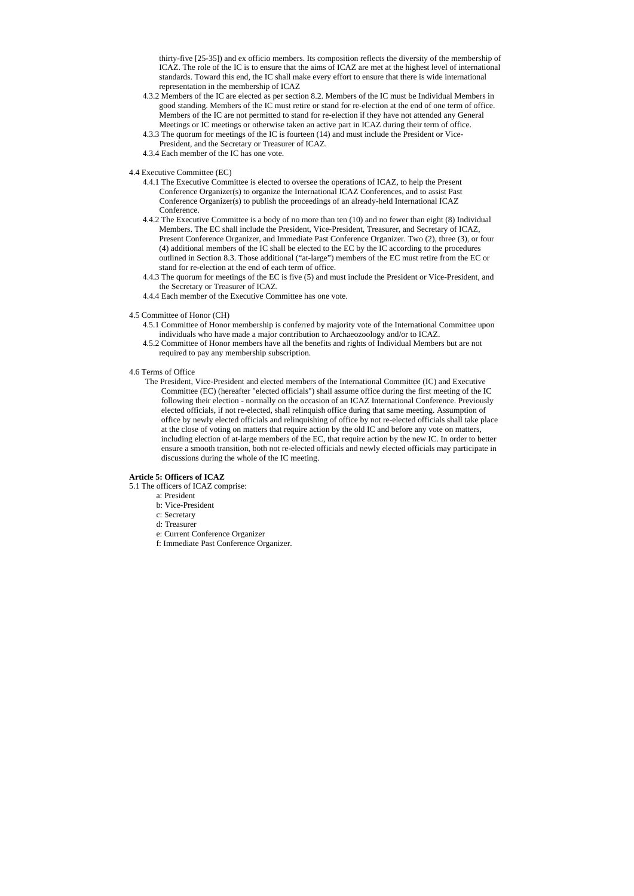thirty-five [25-35]) and ex officio members. Its composition reflects the diversity of the membership of ICAZ. The role of the IC is to ensure that the aims of ICAZ are met at the highest level of international standards. Toward this end, the IC shall make every effort to ensure that there is wide international representation in the membership of ICAZ

- 4.3.2 Members of the IC are elected as per section 8.2. Members of the IC must be Individual Members in good standing. Members of the IC must retire or stand for re-election at the end of one term of office. Members of the IC are not permitted to stand for re-election if they have not attended any General Meetings or IC meetings or otherwise taken an active part in ICAZ during their term of office.
- 4.3.3 The quorum for meetings of the IC is fourteen (14) and must include the President or Vice-President, and the Secretary or Treasurer of ICAZ.
- 4.3.4 Each member of the IC has one vote.
- 4.4 Executive Committee (EC)
	- 4.4.1 The Executive Committee is elected to oversee the operations of ICAZ, to help the Present Conference Organizer(s) to organize the International ICAZ Conferences, and to assist Past Conference Organizer(s) to publish the proceedings of an already-held International ICAZ Conference.
	- 4.4.2 The Executive Committee is a body of no more than ten (10) and no fewer than eight (8) Individual Members. The EC shall include the President, Vice-President, Treasurer, and Secretary of ICAZ, Present Conference Organizer, and Immediate Past Conference Organizer. Two (2), three (3), or four (4) additional members of the IC shall be elected to the EC by the IC according to the procedures outlined in Section 8.3. Those additional ("at-large") members of the EC must retire from the EC or stand for re-election at the end of each term of office.
	- 4.4.3 The quorum for meetings of the EC is five (5) and must include the President or Vice-President, and the Secretary or Treasurer of ICAZ.
	- 4.4.4 Each member of the Executive Committee has one vote.
- 4.5 Committee of Honor (CH)
	- 4.5.1 Committee of Honor membership is conferred by majority vote of the International Committee upon individuals who have made a major contribution to Archaeozoology and/or to ICAZ.
	- 4.5.2 Committee of Honor members have all the benefits and rights of Individual Members but are not required to pay any membership subscription.
- 4.6 Terms of Office
	- The President, Vice-President and elected members of the International Committee (IC) and Executive Committee (EC) (hereafter "elected officials") shall assume office during the first meeting of the IC following their election - normally on the occasion of an ICAZ International Conference. Previously elected officials, if not re-elected, shall relinquish office during that same meeting. Assumption of office by newly elected officials and relinquishing of office by not re-elected officials shall take place at the close of voting on matters that require action by the old IC and before any vote on matters, including election of at-large members of the EC, that require action by the new IC. In order to better ensure a smooth transition, both not re-elected officials and newly elected officials may participate in discussions during the whole of the IC meeting.

#### **Article 5: Officers of ICAZ**

- 5.1 The officers of ICAZ comprise:
	- a: President
	- b: Vice-President
	- c: Secretary
	- d: Treasurer
	- e: Current Conference Organizer
	- f: Immediate Past Conference Organizer.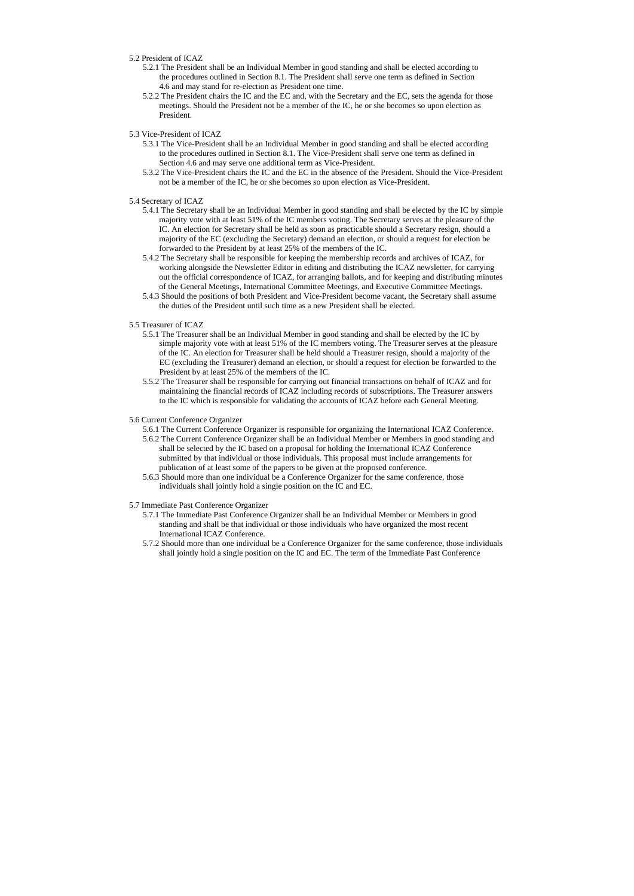### 5.2 President of ICAZ

- 5.2.1 The President shall be an Individual Member in good standing and shall be elected according to the procedures outlined in Section 8.1. The President shall serve one term as defined in Section 4.6 and may stand for re-election as President one time.
- 5.2.2 The President chairs the IC and the EC and, with the Secretary and the EC, sets the agenda for those meetings. Should the President not be a member of the IC, he or she becomes so upon election as President.
- 5.3 Vice-President of ICAZ
	- 5.3.1 The Vice-President shall be an Individual Member in good standing and shall be elected according to the procedures outlined in Section 8.1. The Vice-President shall serve one term as defined in Section 4.6 and may serve one additional term as Vice-President.
	- 5.3.2 The Vice-President chairs the IC and the EC in the absence of the President. Should the Vice-President not be a member of the IC, he or she becomes so upon election as Vice-President.
- 5.4 Secretary of ICAZ
	- 5.4.1 The Secretary shall be an Individual Member in good standing and shall be elected by the IC by simple majority vote with at least 51% of the IC members voting. The Secretary serves at the pleasure of the IC. An election for Secretary shall be held as soon as practicable should a Secretary resign, should a majority of the EC (excluding the Secretary) demand an election, or should a request for election be forwarded to the President by at least 25% of the members of the IC.
	- 5.4.2 The Secretary shall be responsible for keeping the membership records and archives of ICAZ, for working alongside the Newsletter Editor in editing and distributing the ICAZ newsletter, for carrying out the official correspondence of ICAZ, for arranging ballots, and for keeping and distributing minutes of the General Meetings, International Committee Meetings, and Executive Committee Meetings.
	- 5.4.3 Should the positions of both President and Vice-President become vacant, the Secretary shall assume the duties of the President until such time as a new President shall be elected.
- 5.5 Treasurer of ICAZ
	- 5.5.1 The Treasurer shall be an Individual Member in good standing and shall be elected by the IC by simple majority vote with at least 51% of the IC members voting. The Treasurer serves at the pleasure of the IC. An election for Treasurer shall be held should a Treasurer resign, should a majority of the EC (excluding the Treasurer) demand an election, or should a request for election be forwarded to the President by at least 25% of the members of the IC.
	- 5.5.2 The Treasurer shall be responsible for carrying out financial transactions on behalf of ICAZ and for maintaining the financial records of ICAZ including records of subscriptions. The Treasurer answers to the IC which is responsible for validating the accounts of ICAZ before each General Meeting.
- 5.6 Current Conference Organizer
	- 5.6.1 The Current Conference Organizer is responsible for organizing the International ICAZ Conference.
	- 5.6.2 The Current Conference Organizer shall be an Individual Member or Members in good standing and shall be selected by the IC based on a proposal for holding the International ICAZ Conference submitted by that individual or those individuals. This proposal must include arrangements for publication of at least some of the papers to be given at the proposed conference.
	- 5.6.3 Should more than one individual be a Conference Organizer for the same conference, those individuals shall jointly hold a single position on the IC and EC.
- 5.7 Immediate Past Conference Organizer
	- 5.7.1 The Immediate Past Conference Organizer shall be an Individual Member or Members in good standing and shall be that individual or those individuals who have organized the most recent International ICAZ Conference.
	- 5.7.2 Should more than one individual be a Conference Organizer for the same conference, those individuals shall jointly hold a single position on the IC and EC. The term of the Immediate Past Conference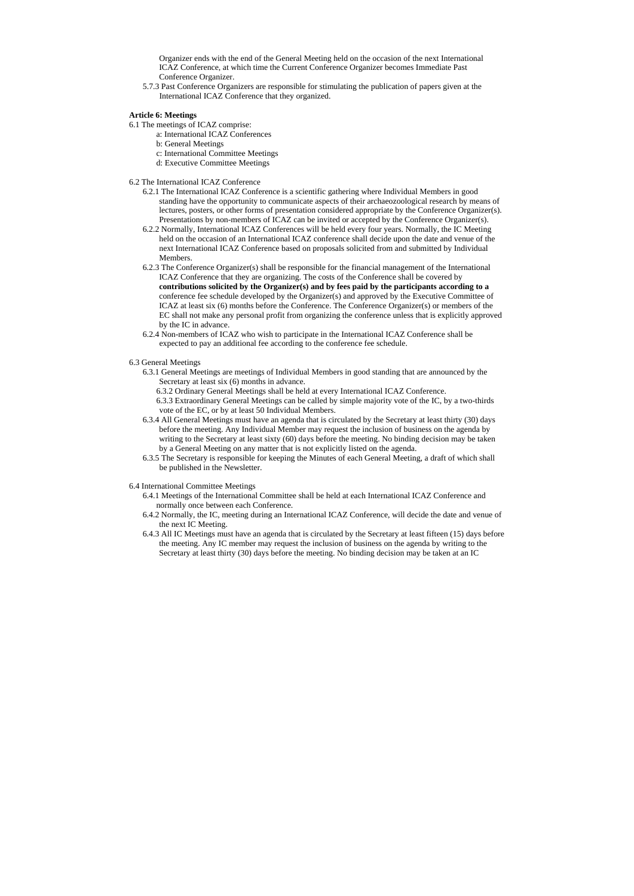Organizer ends with the end of the General Meeting held on the occasion of the next International ICAZ Conference, at which time the Current Conference Organizer becomes Immediate Past Conference Organizer.

5.7.3 Past Conference Organizers are responsible for stimulating the publication of papers given at the International ICAZ Conference that they organized.

## **Article 6: Meetings**

- 6.1 The meetings of ICAZ comprise:
	- a: International ICAZ Conferences
	- b: General Meetings
	- c: International Committee Meetings
	- d: Executive Committee Meetings
- 6.2 The International ICAZ Conference
	- 6.2.1 The International ICAZ Conference is a scientific gathering where Individual Members in good standing have the opportunity to communicate aspects of their archaeozoological research by means of lectures, posters, or other forms of presentation considered appropriate by the Conference Organizer(s). Presentations by non-members of ICAZ can be invited or accepted by the Conference Organizer(s).
	- 6.2.2 Normally, International ICAZ Conferences will be held every four years. Normally, the IC Meeting held on the occasion of an International ICAZ conference shall decide upon the date and venue of the next International ICAZ Conference based on proposals solicited from and submitted by Individual Members.
	- 6.2.3 The Conference Organizer(s) shall be responsible for the financial management of the International ICAZ Conference that they are organizing. The costs of the Conference shall be covered by **contributions solicited by the Organizer(s) and by fees paid by the participants according to a** conference fee schedule developed by the Organizer(s) and approved by the Executive Committee of ICAZ at least six (6) months before the Conference. The Conference Organizer(s) or members of the EC shall not make any personal profit from organizing the conference unless that is explicitly approved by the IC in advance.
	- 6.2.4 Non-members of ICAZ who wish to participate in the International ICAZ Conference shall be expected to pay an additional fee according to the conference fee schedule.
- 6.3 General Meetings
	- 6.3.1 General Meetings are meetings of Individual Members in good standing that are announced by the Secretary at least six (6) months in advance.
		- 6.3.2 Ordinary General Meetings shall be held at every International ICAZ Conference.
		- 6.3.3 Extraordinary General Meetings can be called by simple majority vote of the IC, by a two-thirds vote of the EC, or by at least 50 Individual Members.
	- 6.3.4 All General Meetings must have an agenda that is circulated by the Secretary at least thirty (30) days before the meeting. Any Individual Member may request the inclusion of business on the agenda by writing to the Secretary at least sixty (60) days before the meeting. No binding decision may be taken by a General Meeting on any matter that is not explicitly listed on the agenda.
	- 6.3.5 The Secretary is responsible for keeping the Minutes of each General Meeting, a draft of which shall be published in the Newsletter.
- 6.4 International Committee Meetings
	- 6.4.1 Meetings of the International Committee shall be held at each International ICAZ Conference and normally once between each Conference.
	- 6.4.2 Normally, the IC, meeting during an International ICAZ Conference, will decide the date and venue of the next IC Meeting.
	- 6.4.3 All IC Meetings must have an agenda that is circulated by the Secretary at least fifteen (15) days before the meeting. Any IC member may request the inclusion of business on the agenda by writing to the Secretary at least thirty (30) days before the meeting. No binding decision may be taken at an IC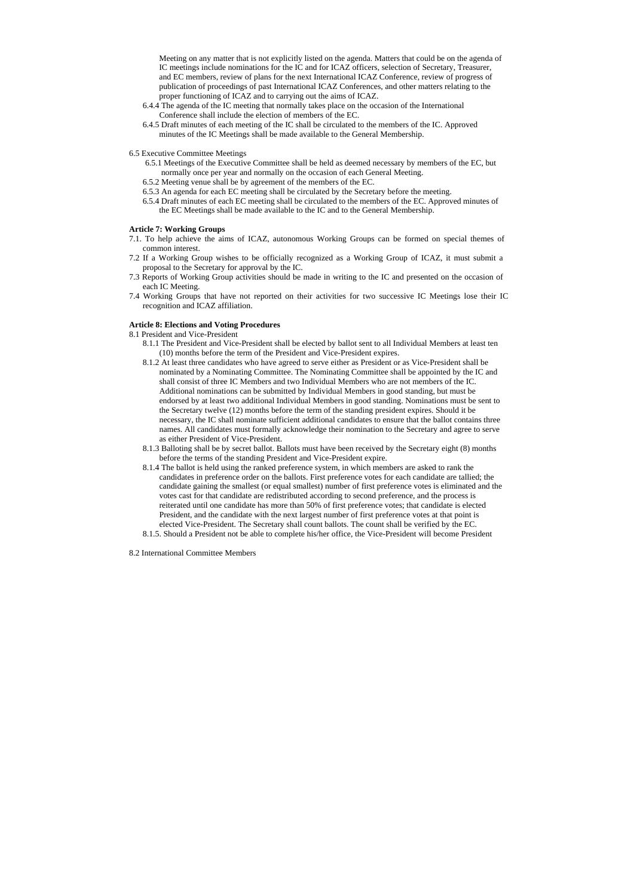Meeting on any matter that is not explicitly listed on the agenda. Matters that could be on the agenda of IC meetings include nominations for the IC and for ICAZ officers, selection of Secretary, Treasurer, and EC members, review of plans for the next International ICAZ Conference, review of progress of publication of proceedings of past International ICAZ Conferences, and other matters relating to the proper functioning of ICAZ and to carrying out the aims of ICAZ.

- 6.4.4 The agenda of the IC meeting that normally takes place on the occasion of the International Conference shall include the election of members of the EC.
- 6.4.5 Draft minutes of each meeting of the IC shall be circulated to the members of the IC. Approved minutes of the IC Meetings shall be made available to the General Membership.
- 6.5 Executive Committee Meetings
	- 6.5.1 Meetings of the Executive Committee shall be held as deemed necessary by members of the EC, but normally once per year and normally on the occasion of each General Meeting.
	- 6.5.2 Meeting venue shall be by agreement of the members of the EC.
	- 6.5.3 An agenda for each EC meeting shall be circulated by the Secretary before the meeting.
	- 6.5.4 Draft minutes of each EC meeting shall be circulated to the members of the EC. Approved minutes of the EC Meetings shall be made available to the IC and to the General Membership.

### **Article 7: Working Groups**

- 7.1. To help achieve the aims of ICAZ, autonomous Working Groups can be formed on special themes of common interest.
- 7.2 If a Working Group wishes to be officially recognized as a Working Group of ICAZ, it must submit a proposal to the Secretary for approval by the IC.
- 7.3 Reports of Working Group activities should be made in writing to the IC and presented on the occasion of each IC Meeting.
- 7.4 Working Groups that have not reported on their activities for two successive IC Meetings lose their IC recognition and ICAZ affiliation.

#### **Article 8: Elections and Voting Procedures**

- 8.1 President and Vice-President
	- 8.1.1 The President and Vice-President shall be elected by ballot sent to all Individual Members at least ten (10) months before the term of the President and Vice-President expires.
	- 8.1.2 At least three candidates who have agreed to serve either as President or as Vice-President shall be nominated by a Nominating Committee. The Nominating Committee shall be appointed by the IC and shall consist of three IC Members and two Individual Members who are not members of the IC. Additional nominations can be submitted by Individual Members in good standing, but must be endorsed by at least two additional Individual Members in good standing. Nominations must be sent to the Secretary twelve (12) months before the term of the standing president expires. Should it be necessary, the IC shall nominate sufficient additional candidates to ensure that the ballot contains three names. All candidates must formally acknowledge their nomination to the Secretary and agree to serve as either President of Vice-President.
	- 8.1.3 Balloting shall be by secret ballot. Ballots must have been received by the Secretary eight (8) months before the terms of the standing President and Vice-President expire.
	- 8.1.4 The ballot is held using the ranked preference system, in which members are asked to rank the candidates in preference order on the ballots. First preference votes for each candidate are tallied; the candidate gaining the smallest (or equal smallest) number of first preference votes is eliminated and the votes cast for that candidate are redistributed according to second preference, and the process is reiterated until one candidate has more than 50% of first preference votes; that candidate is elected President, and the candidate with the next largest number of first preference votes at that point is elected Vice-President. The Secretary shall count ballots. The count shall be verified by the EC.
	- 8.1.5. Should a President not be able to complete his/her office, the Vice-President will become President

8.2 International Committee Members